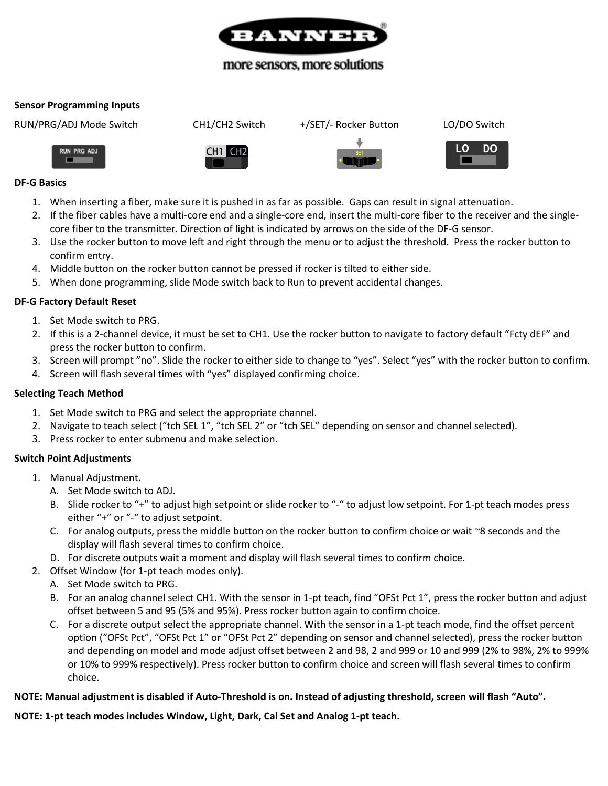

# more sensors, more solutions

#### **Sensor Programming Inputs**

RUN/PRG/ADJ Mode Switch CH1/CH2 Switch +/SET/- Rocker Button LO/DO Switch

**RUN PRG ADJ** 





# **DF-G Basics**

- 1. When inserting a fiber, make sure it is pushed in as far as possible. Gaps can result in signal attenuation.
- 2. If the fiber cables have a multi-core end and a single-core end, insert the multi-core fiber to the receiver and the singlecore fiber to the transmitter. Direction of light is indicated by arrows on the side of the DF-G sensor.
- 3. Use the rocker button to move left and right through the menu or to adjust the threshold. Press the rocker button to confirm entry.
- 4. Middle button on the rocker button cannot be pressed if rocker is tilted to either side.
- 5. When done programming, slide Mode switch back to Run to prevent accidental changes.

### **DF-G Factory Default Reset**

- 1. Set Mode switch to PRG.
- 2. If this is a 2-channel device, it must be set to CH1. Use the rocker button to navigate to factory default "Fcty dEF" and press the rocker button to confirm.
- 3. Screen will prompt "no". Slide the rocker to either side to change to "yes". Select "yes" with the rocker button to confirm.
- 4. Screen will flash several times with "yes" displayed confirming choice.

#### **Selecting Teach Method**

- 1. Set Mode switch to PRG and select the appropriate channel.
- 2. Navigate to teach select ("tch SEL 1", "tch SEL 2" or "tch SEL" depending on sensor and channel selected).
- 3. Press rocker to enter submenu and make selection.

#### **Switch Point Adjustments**

- 1. Manual Adjustment.
	- A. Set Mode switch to ADJ.
	- B. Slide rocker to "+" to adjust high setpoint or slide rocker to "-" to adjust low setpoint. For 1-pt teach modes press either "+" or "-" to adjust setpoint.
	- C. For analog outputs, press the middle button on the rocker button to confirm choice or wait ~8 seconds and the display will flash several times to confirm choice.
	- D. For discrete outputs wait a moment and display will flash several times to confirm choice.
- 2. Offset Window (for 1-pt teach modes only).
	- A. Set Mode switch to PRG.
		- B. For an analog channel select CH1. With the sensor in 1-pt teach, find "OFSt Pct 1", press the rocker button and adjust offset between 5 and 95 (5% and 95%). Press rocker button again to confirm choice.
		- C. For a discrete output select the appropriate channel. With the sensor in a 1-pt teach mode, find the offset percent option ("OFSt Pct", "OFSt Pct 1" or "OFSt Pct 2" depending on sensor and channel selected), press the rocker button and depending on model and mode adjust offset between 2 and 98, 2 and 999 or 10 and 999 (2% to 98%, 2% to 999% or 10% to 999% respectively). Press rocker button to confirm choice and screen will flash several times to confirm choice.

## **NOTE: Manual adjustment is disabled if Auto-Threshold is on. Instead of adjusting threshold, screen will flash "Auto".**

**NOTE: 1-pt teach modes includes Window, Light, Dark, Cal Set and Analog 1-pt teach.**